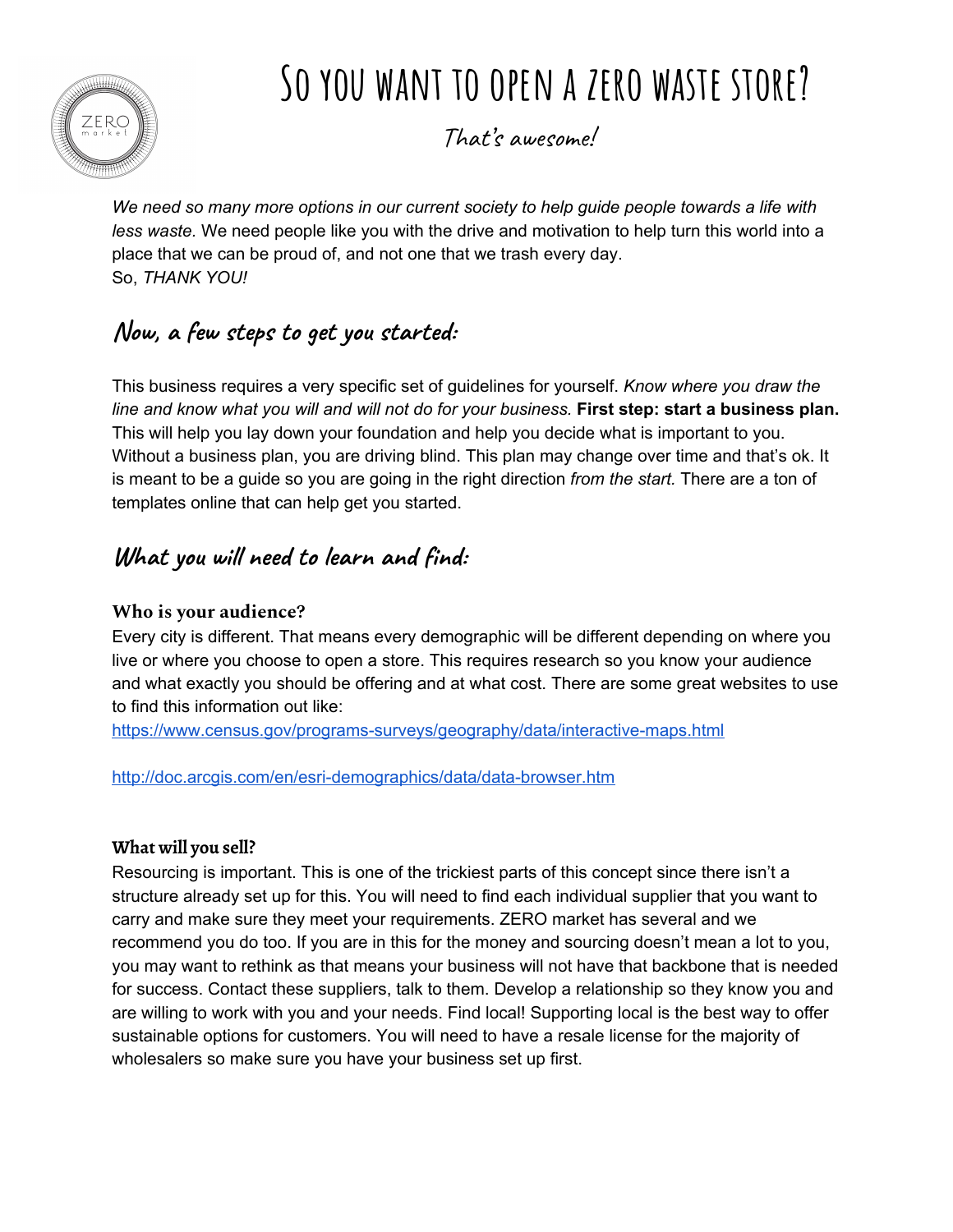

# **So you want to open a zero waste store?**

That's awesome!

*We need so many more options in our current society to help guide people towards a life with less waste.* We need people like you with the drive and motivation to help turn this world into a place that we can be proud of, and not one that we trash every day. So, *THANK YOU!*

## **Now, a few steps to get you started:**

This business requires a very specific set of guidelines for yourself. *Know where you draw the* line and know what you will and will not do for your business. First step: start a business plan. This will help you lay down your foundation and help you decide what is important to you. Without a business plan, you are driving blind. This plan may change over time and that's ok. It is meant to be a guide so you are going in the right direction *from the start.* There are a ton of templates online that can help get you started.

## **What you will need to learn and find:**

#### **Who is your audience?**

Every city is different. That means every demographic will be different depending on where you live or where you choose to open a store. This requires research so you know your audience and what exactly you should be offering and at what cost. There are some great websites to use to find this information out like:

<https://www.census.gov/programs-surveys/geography/data/interactive-maps.html>

<http://doc.arcgis.com/en/esri-demographics/data/data-browser.htm>

#### **What will you sell?**

Resourcing is important. This is one of the trickiest parts of this concept since there isn't a structure already set up for this. You will need to find each individual supplier that you want to carry and make sure they meet your requirements. ZERO market has several and we recommend you do too. If you are in this for the money and sourcing doesn't mean a lot to you, you may want to rethink as that means your business will not have that backbone that is needed for success. Contact these suppliers, talk to them. Develop a relationship so they know you and are willing to work with you and your needs. Find local! Supporting local is the best way to offer sustainable options for customers. You will need to have a resale license for the majority of wholesalers so make sure you have your business set up first.